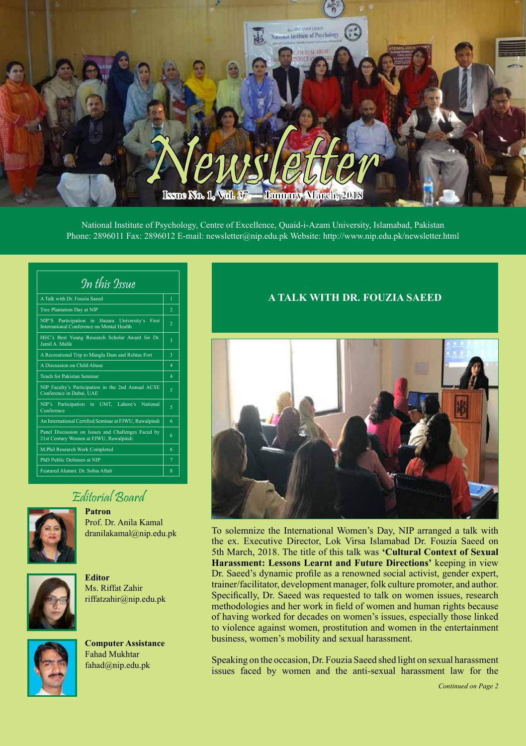

National Institute of Psychology, Centre of Excellence, Quaid-i-Azam University, Islamabad, Pakistan Phone: 2896011 Fax: 2896012 E-mail: newsletter@nip.edu.pk Website: http://www.nip.edu.pk/newsletter.html

| A Talk with Dr Fouzia Saeed<br>$\mathbf{1}$<br>$\overline{2}$<br>Tree Plantation Day at NIP<br>NIP'S Participation in Hazara University's First<br>$\overline{2}$<br>International Conference on Mental Health<br>HEC's Best Young Research Scholar Award for Dr.<br>3<br>Jamil A. Malik<br>A Recreational Trip to Mangla Dam and Rohtas Fort<br>3<br>A Discussion on Child Abuse<br>4<br>Teach for Pakistan Seminar<br>$\overline{A}$<br>NIP Faculty's Participation in the 2nd Annual ACSE<br>5<br>Conference in Dubai. UAE<br>NIP's Participation in UMT, Lahore's National<br>5<br>Conference<br>An International Certified Seminar at FJWU, Rawalpindi<br>6<br>Panel Discussion on Issues and Challenges Faced by<br>6<br>21st Century Women at FJWU, Rawalpindi<br>M.Phil Research Work Completed<br>6 | In this Issue              |   |
|--------------------------------------------------------------------------------------------------------------------------------------------------------------------------------------------------------------------------------------------------------------------------------------------------------------------------------------------------------------------------------------------------------------------------------------------------------------------------------------------------------------------------------------------------------------------------------------------------------------------------------------------------------------------------------------------------------------------------------------------------------------------------------------------------------------|----------------------------|---|
|                                                                                                                                                                                                                                                                                                                                                                                                                                                                                                                                                                                                                                                                                                                                                                                                              |                            |   |
|                                                                                                                                                                                                                                                                                                                                                                                                                                                                                                                                                                                                                                                                                                                                                                                                              |                            |   |
|                                                                                                                                                                                                                                                                                                                                                                                                                                                                                                                                                                                                                                                                                                                                                                                                              |                            |   |
|                                                                                                                                                                                                                                                                                                                                                                                                                                                                                                                                                                                                                                                                                                                                                                                                              |                            |   |
|                                                                                                                                                                                                                                                                                                                                                                                                                                                                                                                                                                                                                                                                                                                                                                                                              |                            |   |
|                                                                                                                                                                                                                                                                                                                                                                                                                                                                                                                                                                                                                                                                                                                                                                                                              |                            |   |
|                                                                                                                                                                                                                                                                                                                                                                                                                                                                                                                                                                                                                                                                                                                                                                                                              |                            |   |
|                                                                                                                                                                                                                                                                                                                                                                                                                                                                                                                                                                                                                                                                                                                                                                                                              |                            |   |
|                                                                                                                                                                                                                                                                                                                                                                                                                                                                                                                                                                                                                                                                                                                                                                                                              |                            |   |
|                                                                                                                                                                                                                                                                                                                                                                                                                                                                                                                                                                                                                                                                                                                                                                                                              |                            |   |
|                                                                                                                                                                                                                                                                                                                                                                                                                                                                                                                                                                                                                                                                                                                                                                                                              |                            |   |
|                                                                                                                                                                                                                                                                                                                                                                                                                                                                                                                                                                                                                                                                                                                                                                                                              |                            |   |
|                                                                                                                                                                                                                                                                                                                                                                                                                                                                                                                                                                                                                                                                                                                                                                                                              | PhD Public Defenses at NIP | 7 |
| Featured Alumni: Dr. Sobia Aftab<br>8                                                                                                                                                                                                                                                                                                                                                                                                                                                                                                                                                                                                                                                                                                                                                                        |                            |   |

# Editorial Board



**Patron** Prof. Dr. Anila Kamal dranilakamal@nip.edu.pk



**Editor** Ms. Riffat Zahir riffatzahir@nip.edu.pk



**Computer Assistance** Fahad Mukhtar fahad@nip.edu.pk

# **A TALK WITH DR. FOUZIA SAEED**



To solemnize the International Women's Day, NIP arranged a talk with the ex. Executive Director, Lok Virsa Islamabad Dr. Fouzia Saeed on 5th March, 2018. The title of this talk was **'Cultural Context of Sexual Harassment: Lessons Learnt and Future Directions'** keeping in view Dr. Saeed's dynamic profile as a renowned social activist, gender expert, trainer/facilitator, development manager, folk culture promoter, and author. Specifically, Dr. Saeed was requested to talk on women issues, research methodologies and her work in field of women and human rights because of having worked for decades on women's issues, especially those linked to violence against women, prostitution and women in the entertainment business, women's mobility and sexual harassment.

Speaking on the occasion, Dr. Fouzia Saeed shed light on sexual harassment issues faced by women and the anti-sexual harassment law for the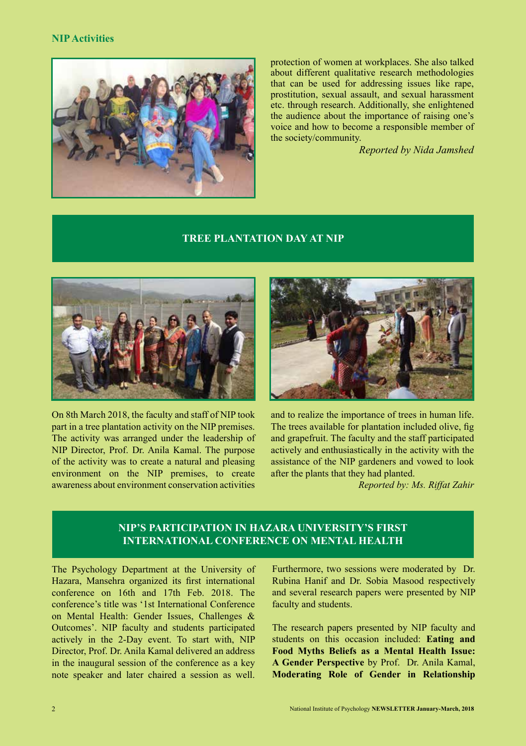#### **NIP Activities**



protection of women at workplaces. She also talked about different qualitative research methodologies that can be used for addressing issues like rape, prostitution, sexual assault, and sexual harassment etc. through research. Additionally, she enlightened the audience about the importance of raising one's voice and how to become a responsible member of the society/community.

*Reported by Nida Jamshed*

#### **TREE PLANTATION DAY AT NIP**



On 8th March 2018, the faculty and staff of NIP took part in a tree plantation activity on the NIP premises. The activity was arranged under the leadership of NIP Director, Prof. Dr. Anila Kamal. The purpose of the activity was to create a natural and pleasing environment on the NIP premises, to create awareness about environment conservation activities



and to realize the importance of trees in human life. The trees available for plantation included olive, fig and grapefruit. The faculty and the staff participated actively and enthusiastically in the activity with the assistance of the NIP gardeners and vowed to look after the plants that they had planted.

*Reported by: Ms. Riffat Zahir*

# **NIP'S PARTICIPATION IN HAZARA UNIVERSITY'S FIRST INTERNATIONAL CONFERENCE ON MENTAL HEALTH**

The Psychology Department at the University of Hazara, Mansehra organized its first international conference on 16th and 17th Feb. 2018. The conference's title was '1st International Conference on Mental Health: Gender Issues, Challenges & Outcomes'. NIP faculty and students participated actively in the 2-Day event. To start with, NIP Director, Prof. Dr. Anila Kamal delivered an address in the inaugural session of the conference as a key note speaker and later chaired a session as well.

Furthermore, two sessions were moderated by Dr. Rubina Hanif and Dr. Sobia Masood respectively and several research papers were presented by NIP faculty and students.

The research papers presented by NIP faculty and students on this occasion included: **Eating and Food Myths Beliefs as a Mental Health Issue: A Gender Perspective** by Prof. Dr. Anila Kamal, **Moderating Role of Gender in Relationship**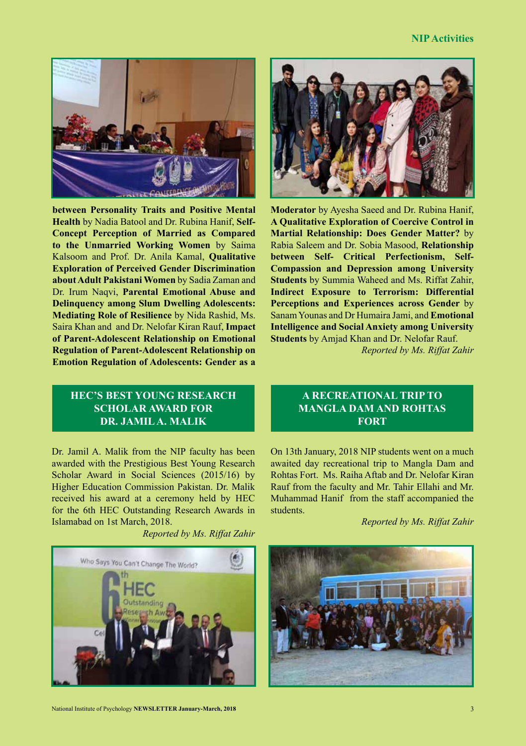#### **NIP Activities**



**between Personality Traits and Positive Mental Health** by Nadia Batool and Dr. Rubina Hanif, **Self-Concept Perception of Married as Compared to the Unmarried Working Women** by Saima Kalsoom and Prof. Dr. Anila Kamal, **Qualitative Exploration of Perceived Gender Discrimination about Adult Pakistani Women** by Sadia Zaman and Dr. Irum Naqvi, **Parental Emotional Abuse and Delinquency among Slum Dwelling Adolescents: Mediating Role of Resilience** by Nida Rashid, Ms. Saira Khan and and Dr. Nelofar Kiran Rauf, **Impact of Parent-Adolescent Relationship on Emotional Regulation of Parent-Adolescent Relationship on Emotion Regulation of Adolescents: Gender as a** 

**Moderator** by Ayesha Saeed and Dr. Rubina Hanif, **A Qualitative Exploration of Coercive Control in Martial Relationship: Does Gender Matter?** by Rabia Saleem and Dr. Sobia Masood, **Relationship between Self- Critical Perfectionism, Self-Compassion and Depression among University Students** by Summia Waheed and Ms. Riffat Zahir, **Indirect Exposure to Terrorism: Differential Perceptions and Experiences across Gender** by Sanam Younas and Dr Humaira Jami, and **Emotional Intelligence and Social Anxiety among University Students** by Amjad Khan and Dr. Nelofar Rauf.

*Reported by Ms. Riffat Zahir*

# **HEC'S BEST YOUNG RESEARCH SCHOLAR AWARD FOR DR. JAMIL A. MALIK**

Dr. Jamil A. Malik from the NIP faculty has been awarded with the Prestigious Best Young Research Scholar Award in Social Sciences (2015/16) by Higher Education Commission Pakistan. Dr. Malik received his award at a ceremony held by HEC for the 6th HEC Outstanding Research Awards in Islamabad on 1st March, 2018.

*Reported by Ms. Riffat Zahir*



# **A RECREATIONAL TRIP TO MANGLA DAM AND ROHTAS FORT**

On 13th January, 2018 NIP students went on a much awaited day recreational trip to Mangla Dam and Rohtas Fort. Ms. Raiha Aftab and Dr. Nelofar Kiran Rauf from the faculty and Mr. Tahir Ellahi and Mr. Muhammad Hanif from the staff accompanied the students.

*Reported by Ms. Riffat Zahir*

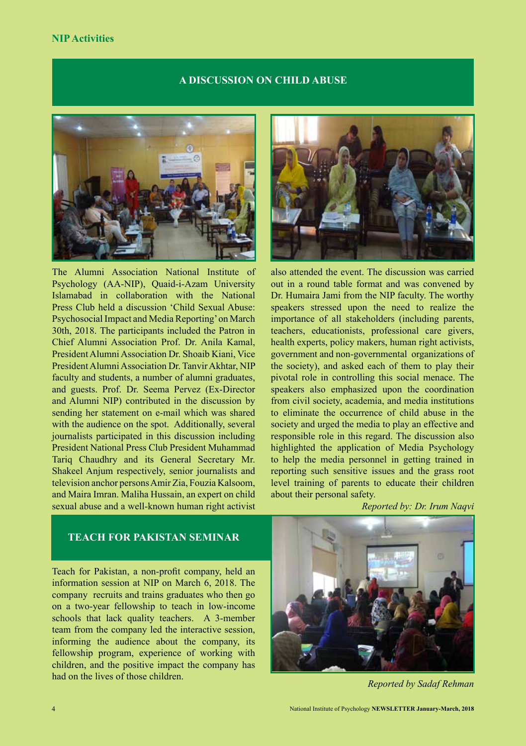#### **NIP Activities**

#### **A DISCUSSION ON CHILD ABUSE**



The Alumni Association National Institute of Psychology (AA-NIP), Quaid-i-Azam University Islamabad in collaboration with the National Press Club held a discussion 'Child Sexual Abuse: Psychosocial Impact and Media Reporting' on March 30th, 2018. The participants included the Patron in Chief Alumni Association Prof. Dr. Anila Kamal, President Alumni Association Dr. Shoaib Kiani, Vice President Alumni Association Dr. Tanvir Akhtar, NIP faculty and students, a number of alumni graduates, and guests. Prof. Dr. Seema Pervez (Ex-Director and Alumni NIP) contributed in the discussion by sending her statement on e-mail which was shared with the audience on the spot. Additionally, several journalists participated in this discussion including President National Press Club President Muhammad Tariq Chaudhry and its General Secretary Mr. Shakeel Anjum respectively, senior journalists and television anchor persons Amir Zia, Fouzia Kalsoom, and Maira Imran. Maliha Hussain, an expert on child sexual abuse and a well-known human right activist



also attended the event. The discussion was carried out in a round table format and was convened by Dr. Humaira Jami from the NIP faculty. The worthy speakers stressed upon the need to realize the importance of all stakeholders (including parents, teachers, educationists, professional care givers, health experts, policy makers, human right activists, government and non-governmental organizations of the society), and asked each of them to play their pivotal role in controlling this social menace. The speakers also emphasized upon the coordination from civil society, academia, and media institutions to eliminate the occurrence of child abuse in the society and urged the media to play an effective and responsible role in this regard. The discussion also highlighted the application of Media Psychology to help the media personnel in getting trained in reporting such sensitive issues and the grass root level training of parents to educate their children about their personal safety.

*Reported by: Dr. Irum Naqvi*

# **TEACH FOR PAKISTAN SEMINAR**

Teach for Pakistan, a non-profit company, held an information session at NIP on March 6, 2018. The company recruits and trains graduates who then go on a two-year fellowship to teach in low-income schools that lack quality teachers. A 3-member team from the company led the interactive session, informing the audience about the company, its fellowship program, experience of working with children, and the positive impact the company has had on the lives of those children.



*Reported by Sadaf Rehman*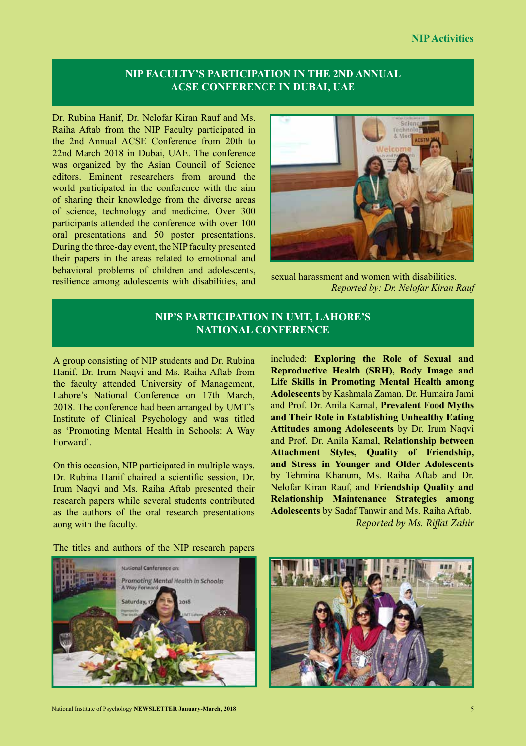# **NIP FACULTY'S PARTICIPATION IN THE 2ND ANNUAL ACSE CONFERENCE IN DUBAI, UAE**

Dr. Rubina Hanif, Dr. Nelofar Kiran Rauf and Ms. Raiha Aftab from the NIP Faculty participated in the 2nd Annual ACSE Conference from 20th to 22nd March 2018 in Dubai, UAE. The conference was organized by the Asian Council of Science editors. Eminent researchers from around the world participated in the conference with the aim of sharing their knowledge from the diverse areas of science, technology and medicine. Over 300 participants attended the conference with over 100 oral presentations and 50 poster presentations. During the three-day event, the NIP faculty presented their papers in the areas related to emotional and behavioral problems of children and adolescents, resilience among adolescents with disabilities, and



sexual harassment and women with disabilities. *Reported by: Dr. Nelofar Kiran Rauf*

# **NIP'S PARTICIPATION IN UMT, LAHORE'S NATIONAL CONFERENCE**

A group consisting of NIP students and Dr. Rubina Hanif, Dr. Irum Naqvi and Ms. Raiha Aftab from the faculty attended University of Management, Lahore's National Conference on 17th March, 2018. The conference had been arranged by UMT's Institute of Clinical Psychology and was titled as 'Promoting Mental Health in Schools: A Way Forward'.

On this occasion, NIP participated in multiple ways. Dr. Rubina Hanif chaired a scientific session, Dr. Irum Naqvi and Ms. Raiha Aftab presented their research papers while several students contributed as the authors of the oral research presentations aong with the faculty.

included: **Exploring the Role of Sexual and Reproductive Health (SRH), Body Image and Life Skills in Promoting Mental Health among Adolescents** by Kashmala Zaman, Dr. Humaira Jami and Prof. Dr. Anila Kamal, **Prevalent Food Myths and Their Role in Establishing Unhealthy Eating Attitudes among Adolescents** by Dr. Irum Naqvi and Prof. Dr. Anila Kamal, **Relationship between Attachment Styles, Quality of Friendship, and Stress in Younger and Older Adolescents**  by Tehmina Khanum, Ms. Raiha Aftab and Dr. Nelofar Kiran Rauf, and **Friendship Quality and Relationship Maintenance Strategies among Adolescents** by Sadaf Tanwir and Ms. Raiha Aftab. *Reported by Ms. Riffat Zahir*

The titles and authors of the NIP research papers



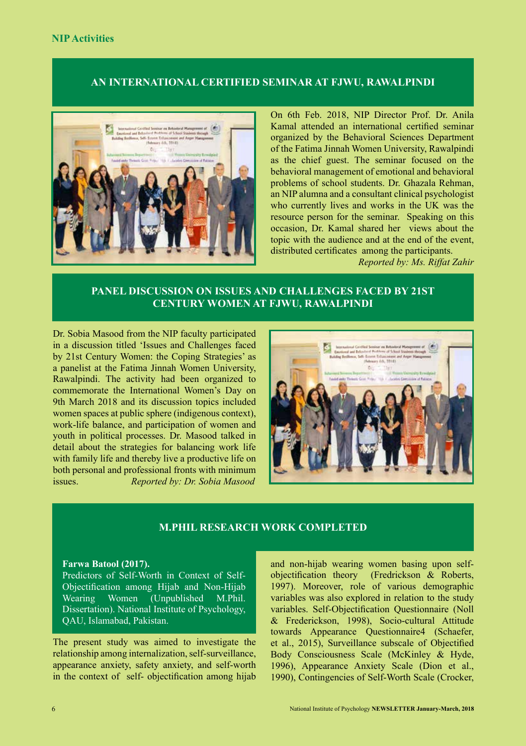# **AN INTERNATIONAL CERTIFIED SEMINAR AT FJWU, RAWALPINDI**



On 6th Feb. 2018, NIP Director Prof. Dr. Anila Kamal attended an international certified seminar organized by the Behavioral Sciences Department of the Fatima Jinnah Women University, Rawalpindi as the chief guest. The seminar focused on the behavioral management of emotional and behavioral problems of school students. Dr. Ghazala Rehman, an NIP alumna and a consultant clinical psychologist who currently lives and works in the UK was the resource person for the seminar. Speaking on this occasion, Dr. Kamal shared her views about the topic with the audience and at the end of the event, distributed certificates among the participants.

*Reported by: Ms. Riffat Zahir*

# **PANEL DISCUSSION ON ISSUES AND CHALLENGES FACED BY 21ST CENTURY WOMEN AT FJWU, RAWALPINDI**

Dr. Sobia Masood from the NIP faculty participated in a discussion titled 'Issues and Challenges faced by 21st Century Women: the Coping Strategies' as a panelist at the Fatima Jinnah Women University, Rawalpindi. The activity had been organized to commemorate the International Women's Day on 9th March 2018 and its discussion topics included women spaces at public sphere (indigenous context), work-life balance, and participation of women and youth in political processes. Dr. Masood talked in detail about the strategies for balancing work life with family life and thereby live a productive life on both personal and professional fronts with minimum issues. *Reported by: Dr. Sobia Masood*



# **M.PHIL RESEARCH WORK COMPLETED**

#### **Farwa Batool (2017).**

Predictors of Self-Worth in Context of Self-Objectification among Hijab and Non-Hijab Wearing Women (Unpublished M.Phil. Dissertation). National Institute of Psychology, QAU, Islamabad, Pakistan.

The present study was aimed to investigate the relationship among internalization, self-surveillance, appearance anxiety, safety anxiety, and self-worth in the context of self- objectification among hijab

and non-hijab wearing women basing upon selfobjectification theory (Fredrickson & Roberts, 1997). Moreover, role of various demographic variables was also explored in relation to the study variables. Self-Objectification Questionnaire (Noll & Frederickson, 1998), Socio-cultural Attitude towards Appearance Questionnaire4 (Schaefer, et al., 2015), Surveillance subscale of Objectified Body Consciousness Scale (McKinley & Hyde, 1996), Appearance Anxiety Scale (Dion et al., 1990), Contingencies of Self-Worth Scale (Crocker,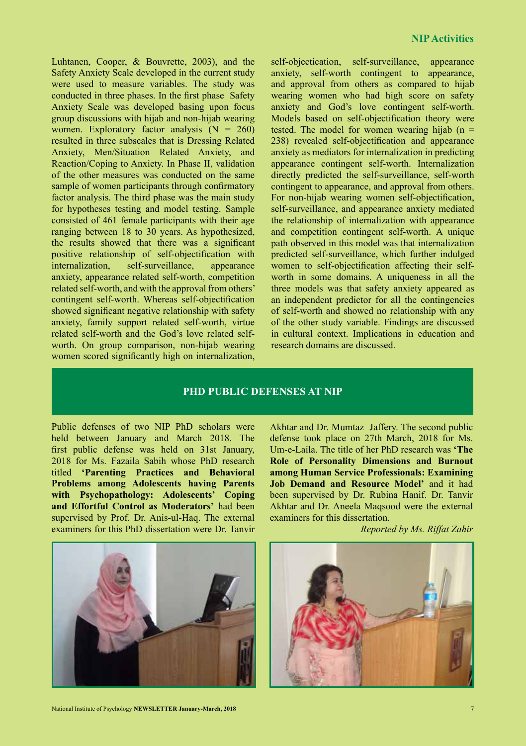Luhtanen, Cooper, & Bouvrette, 2003), and the Safety Anxiety Scale developed in the current study were used to measure variables. The study was conducted in three phases. In the first phase Safety Anxiety Scale was developed basing upon focus group discussions with hijab and non-hijab wearing women. Exploratory factor analysis  $(N = 260)$ resulted in three subscales that is Dressing Related Anxiety, Men/Situation Related Anxiety, and Reaction/Coping to Anxiety. In Phase II, validation of the other measures was conducted on the same sample of women participants through confirmatory factor analysis. The third phase was the main study for hypotheses testing and model testing. Sample consisted of 461 female participants with their age ranging between 18 to 30 years. As hypothesized, the results showed that there was a significant positive relationship of self-objectification with internalization, self-surveillance, appearance anxiety, appearance related self-worth, competition related self-worth, and with the approval from others' contingent self-worth. Whereas self-objectification showed significant negative relationship with safety anxiety, family support related self-worth, virtue related self-worth and the God's love related selfworth. On group comparison, non-hijab wearing women scored significantly high on internalization,

self-objectication, self-surveillance, appearance anxiety, self-worth contingent to appearance, and approval from others as compared to hijab wearing women who had high score on safety anxiety and God's love contingent self-worth. Models based on self-objectification theory were tested. The model for women wearing hijab  $(n =$ 238) revealed self-objectification and appearance anxiety as mediators for internalization in predicting appearance contingent self-worth. Internalization directly predicted the self-surveillance, self-worth contingent to appearance, and approval from others. For non-hijab wearing women self-objectification, self-surveillance, and appearance anxiety mediated the relationship of internalization with appearance and competition contingent self-worth. A unique path observed in this model was that internalization predicted self-surveillance, which further indulged women to self-objectification affecting their selfworth in some domains. A uniqueness in all the three models was that safety anxiety appeared as an independent predictor for all the contingencies of self-worth and showed no relationship with any of the other study variable. Findings are discussed in cultural context. Implications in education and research domains are discussed.

### **PHD PUBLIC DEFENSES AT NIP**

Public defenses of two NIP PhD scholars were held between January and March 2018. The first public defense was held on 31st January, 2018 for Ms. Fazaila Sabih whose PhD research titled **'Parenting Practices and Behavioral Problems among Adolescents having Parents with Psychopathology: Adolescents' Coping and Effortful Control as Moderators'** had been supervised by Prof. Dr. Anis-ul-Haq. The external examiners for this PhD dissertation were Dr. Tanvir Akhtar and Dr. Mumtaz Jaffery. The second public defense took place on 27th March, 2018 for Ms. Um-e-Laila. The title of her PhD research was **'The Role of Personality Dimensions and Burnout among Human Service Professionals: Examining Job Demand and Resource Model'** and it had been supervised by Dr. Rubina Hanif. Dr. Tanvir Akhtar and Dr. Aneela Maqsood were the external examiners for this dissertation.

*Reported by Ms. Riffat Zahir*